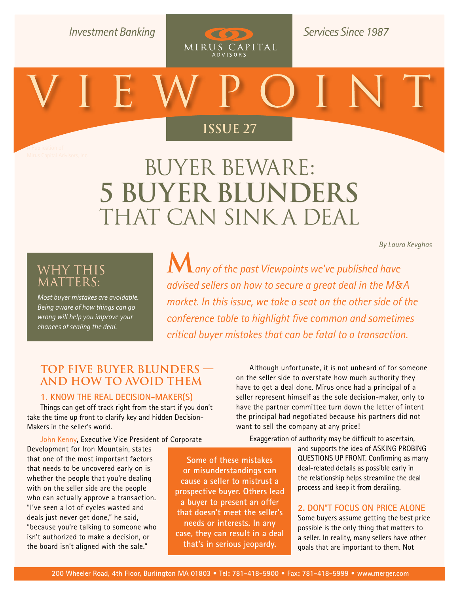**Investment Banking** 

**Services Since 1987** 

 $(50)$ 

MIRUS CAPITAL

# **Issue 27**

A Publication of

**[Issue 26](http://www.merger.com/research/?section=viewpoint)**

# Buyer Beware: **5 Buyer Blunders**  THAT CAN SINK A DEAL

*[By Laura Kevghas](mailto:kevghas@merger.com)* 

## Why This MATTERS:

*Most buyer mistakes are avoidable. Being aware of how things can go wrong will help you improve your chances of sealing the deal.* 

**M***any of the past Viewpoints we've published have advised sellers on how to secure a great deal in the M&A market. In this issue, we take a seat on the other side of the conference table to highlight five common and sometimes critical buyer mistakes that can be fatal to a transaction.* 

### **Top Five Buyer Blunders and How to Avoid Them**

#### **1. KNOW the Real Decision-Maker(s)**

Things can get off track right from the start if you don't take the time up front to clarify key and hidden Decision-Makers in the seller's world.

John Kenny, Executive Vice President of Corporate

Development for Iron Mountain, states that one of the most important factors that needs to be uncovered early on is whether the people that you're dealing with on the seller side are the people who can actually approve a transaction. "I've seen a lot of cycles wasted and deals just never get done," he said, "because you're talking to someone who isn't authorized to make a decision, or the board isn't aligned with the sale."

**Some of these mistakes or misunderstandings can cause a seller to mistrust a prospective buyer. Others lead a buyer to present an offer that doesn't meet the seller's needs or interests. In any case, they can result in a deal that's in serious jeopardy.**

Although unfortunate, it is not unheard of for someone on the seller side to overstate how much authority they have to get a deal done. Mirus once had a principal of a seller represent himself as the sole decision-maker, only to have the partner committee turn down the letter of intent the principal had negotiated because his partners did not want to sell the company at any price!

Exaggeration of authority may be difficult to ascertain, and supports the idea of ASKING PROBING QUESTIONS UP FRONT. Confirming as many deal-related details as possible early in the relationship helps streamline the deal process and keep it from derailing.

#### **2. DON"T Focus on Price Alone**

Some buyers assume getting the best price possible is the only thing that matters to a seller. In reality, many sellers have other goals that are important to them. Not